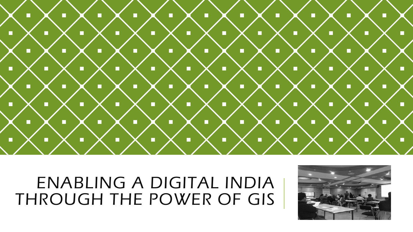

#### ENABLING A DIGITAL INDIA THROUGH THE POWER OF GIS

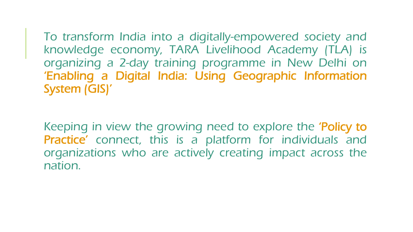To transform India into a digitally-empowered society and knowledge economy, TARA Livelihood Academy (TLA) is organizing a 2-day training programme in New Delhi on 'Enabling a Digital India: Using Geographic Information System (GIS)'

Keeping in view the growing need to explore the 'Policy to Practice' connect, this is a platform for individuals and organizations who are actively creating impact across the nation.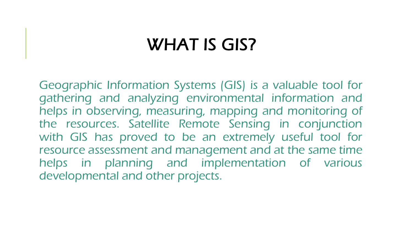### WHAT IS GIS?

Geographic Information Systems (GIS) is a valuable tool for gathering and analyzing environmental information and helps in observing, measuring, mapping and monitoring of the resources. Satellite Remote Sensing in conjunction with GIS has proved to be an extremely useful tool for resource assessment and management and at the same time helps in planning and implementation of various developmental and other projects.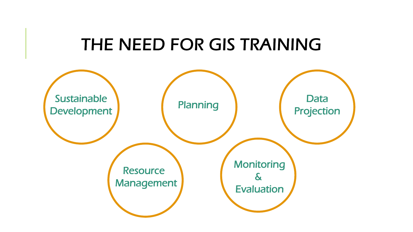#### THE NEED FOR GIS TRAINING

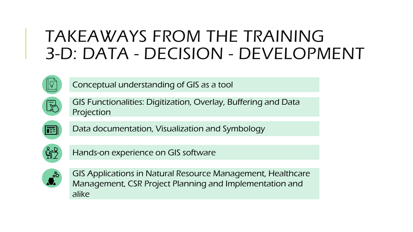#### TAKEAWAYS FROM THE TRAINING 3-D: DATA - DECISION - DEVELOPMENT



Conceptual understanding of GIS as a tool



GIS Functionalities: Digitization, Overlay, Buffering and Data Projection



Data documentation, Visualization and Symbology



Hands-on experience on GIS software



GIS Applications in Natural Resource Management, Healthcare Management, CSR Project Planning and Implementation and alike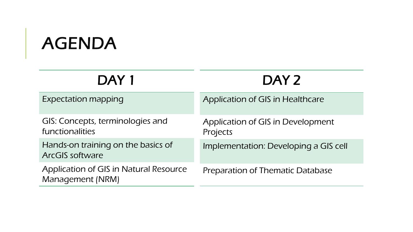## AGENDA

| DAY 1                                                             | DAY <sub>2</sub>                              |
|-------------------------------------------------------------------|-----------------------------------------------|
| <b>Expectation mapping</b>                                        | Application of GIS in Healthcare              |
| GIS: Concepts, terminologies and<br>functionalities               | Application of GIS in Development<br>Projects |
| Hands-on training on the basics of<br><b>ArcGIS software</b>      | Implementation: Developing a GIS cell         |
| <b>Application of GIS in Natural Resource</b><br>Management (NRM) | Preparation of Thematic Database              |